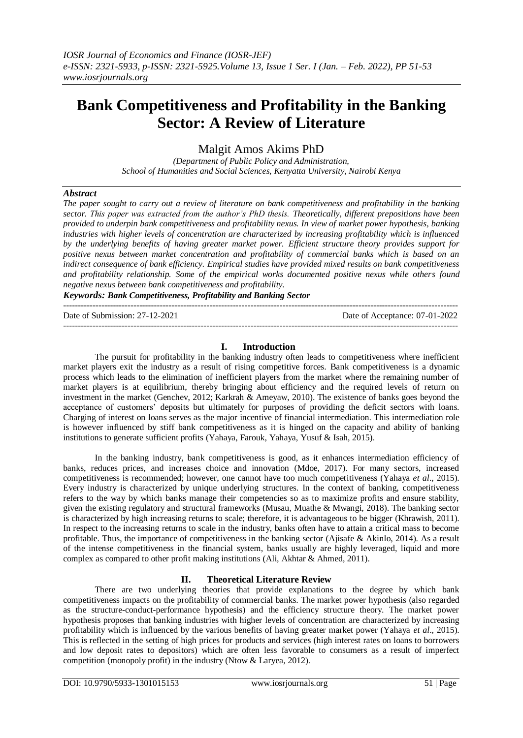# **Bank Competitiveness and Profitability in the Banking Sector: A Review of Literature**

Malgit Amos Akims PhD

*(Department of Public Policy and Administration, School of Humanities and Social Sciences, Kenyatta University, Nairobi Kenya*

### *Abstract*

*The paper sought to carry out a review of literature on bank competitiveness and profitability in the banking sector. This paper was extracted from the author's PhD thesis. Theoretically, different prepositions have been provided to underpin bank competitiveness and profitability nexus. In view of market power hypothesis, banking industries with higher levels of concentration are characterized by increasing profitability which is influenced by the underlying benefits of having greater market power. Efficient structure theory provides support for positive nexus between market concentration and profitability of commercial banks which is based on an indirect consequence of bank efficiency. Empirical studies have provided mixed results on bank competitiveness and profitability relationship. Some of the empirical works documented positive nexus while others found negative nexus between bank competitiveness and profitability.*

*Keywords: Bank Competitiveness, Profitability and Banking Sector* 

--------------------------------------------------------------------------------------------------------------------------------------- Date of Submission: 27-12-2021 Date of Acceptance: 07-01-2022 ---------------------------------------------------------------------------------------------------------------------------------------

# **I. Introduction**

The pursuit for profitability in the banking industry often leads to competitiveness where inefficient market players exit the industry as a result of rising competitive forces. Bank competitiveness is a dynamic process which leads to the elimination of inefficient players from the market where the remaining number of market players is at equilibrium, thereby bringing about efficiency and the required levels of return on investment in the market (Genchev, 2012; Karkrah & Ameyaw, 2010). The existence of banks goes beyond the acceptance of customers' deposits but ultimately for purposes of providing the deficit sectors with loans. Charging of interest on loans serves as the major incentive of financial intermediation. This intermediation role is however influenced by stiff bank competitiveness as it is hinged on the capacity and ability of banking institutions to generate sufficient profits (Yahaya, Farouk, Yahaya, Yusuf & Isah, 2015).

In the banking industry, bank competitiveness is good, as it enhances intermediation efficiency of banks, reduces prices, and increases choice and innovation (Mdoe, 2017). For many sectors, increased competitiveness is recommended; however, one cannot have too much competitiveness (Yahaya *et al*., 2015). Every industry is characterized by unique underlying structures. In the context of banking, competitiveness refers to the way by which banks manage their competencies so as to maximize profits and ensure stability, given the existing regulatory and structural frameworks (Musau, Muathe & Mwangi, 2018). The banking sector is characterized by high increasing returns to scale; therefore, it is advantageous to be bigger (Khrawish, 2011). In respect to the increasing returns to scale in the industry, banks often have to attain a critical mass to become profitable. Thus, the importance of competitiveness in the banking sector (Ajisafe & Akinlo, 2014). As a result of the intense competitiveness in the financial system, banks usually are highly leveraged, liquid and more complex as compared to other profit making institutions (Ali, Akhtar & Ahmed, 2011).

## **II. Theoretical Literature Review**

There are two underlying theories that provide explanations to the degree by which bank competitiveness impacts on the profitability of commercial banks. The market power hypothesis (also regarded as the structure-conduct-performance hypothesis) and the efficiency structure theory. The market power hypothesis proposes that banking industries with higher levels of concentration are characterized by increasing profitability which is influenced by the various benefits of having greater market power (Yahaya *et al*., 2015). This is reflected in the setting of high prices for products and services (high interest rates on loans to borrowers and low deposit rates to depositors) which are often less favorable to consumers as a result of imperfect competition (monopoly profit) in the industry (Ntow & Laryea, 2012).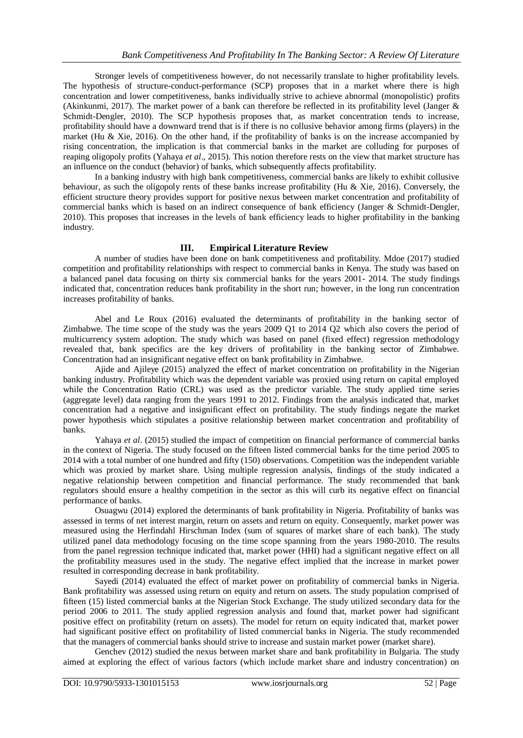Stronger levels of competitiveness however, do not necessarily translate to higher profitability levels. The hypothesis of structure-conduct-performance (SCP) proposes that in a market where there is high concentration and lower competitiveness, banks individually strive to achieve abnormal (monopolistic) profits (Akinkunmi, 2017). The market power of a bank can therefore be reflected in its profitability level (Janger & Schmidt-Dengler, 2010). The SCP hypothesis proposes that, as market concentration tends to increase, profitability should have a downward trend that is if there is no collusive behavior among firms (players) in the market (Hu & Xie, 2016). On the other hand, if the profitability of banks is on the increase accompanied by rising concentration, the implication is that commercial banks in the market are colluding for purposes of reaping oligopoly profits (Yahaya *et al*., 2015). This notion therefore rests on the view that market structure has an influence on the conduct (behavior) of banks, which subsequently affects profitability.

In a banking industry with high bank competitiveness, commercial banks are likely to exhibit collusive behaviour, as such the oligopoly rents of these banks increase profitability (Hu & Xie, 2016). Conversely, the efficient structure theory provides support for positive nexus between market concentration and profitability of commercial banks which is based on an indirect consequence of bank efficiency (Janger & Schmidt-Dengler, 2010). This proposes that increases in the levels of bank efficiency leads to higher profitability in the banking industry.

#### **III. Empirical Literature Review**

A number of studies have been done on bank competitiveness and profitability. Mdoe (2017) studied competition and profitability relationships with respect to commercial banks in Kenya. The study was based on a balanced panel data focusing on thirty six commercial banks for the years 2001- 2014. The study findings indicated that, concentration reduces bank profitability in the short run; however, in the long run concentration increases profitability of banks.

Abel and Le Roux (2016) evaluated the determinants of profitability in the banking sector of Zimbabwe. The time scope of the study was the years 2009 Q1 to 2014 Q2 which also covers the period of multicurrency system adoption. The study which was based on panel (fixed effect) regression methodology revealed that, bank specifics are the key drivers of profitability in the banking sector of Zimbabwe. Concentration had an insignificant negative effect on bank profitability in Zimbabwe.

Ajide and Ajileye (2015) analyzed the effect of market concentration on profitability in the Nigerian banking industry. Profitability which was the dependent variable was proxied using return on capital employed while the Concentration Ratio (CRL) was used as the predictor variable. The study applied time series (aggregate level) data ranging from the years 1991 to 2012. Findings from the analysis indicated that, market concentration had a negative and insignificant effect on profitability. The study findings negate the market power hypothesis which stipulates a positive relationship between market concentration and profitability of banks.

Yahaya *et al.* (2015) studied the impact of competition on financial performance of commercial banks in the context of Nigeria. The study focused on the fifteen listed commercial banks for the time period 2005 to 2014 with a total number of one hundred and fifty (150) observations. Competition was the independent variable which was proxied by market share. Using multiple regression analysis, findings of the study indicated a negative relationship between competition and financial performance. The study recommended that bank regulators should ensure a healthy competition in the sector as this will curb its negative effect on financial performance of banks.

Osuagwu (2014) explored the determinants of bank profitability in Nigeria. Profitability of banks was assessed in terms of net interest margin, return on assets and return on equity. Consequently, market power was measured using the Herfindahl Hirschman Index (sum of squares of market share of each bank). The study utilized panel data methodology focusing on the time scope spanning from the years 1980-2010. The results from the panel regression technique indicated that, market power (HHI) had a significant negative effect on all the profitability measures used in the study. The negative effect implied that the increase in market power resulted in corresponding decrease in bank profitability.

Sayedi (2014) evaluated the effect of market power on profitability of commercial banks in Nigeria. Bank profitability was assessed using return on equity and return on assets. The study population comprised of fifteen (15) listed commercial banks at the Nigerian Stock Exchange. The study utilized secondary data for the period 2006 to 2011. The study applied regression analysis and found that, market power had significant positive effect on profitability (return on assets). The model for return on equity indicated that, market power had significant positive effect on profitability of listed commercial banks in Nigeria. The study recommended that the managers of commercial banks should strive to increase and sustain market power (market share).

Genchev (2012) studied the nexus between market share and bank profitability in Bulgaria. The study aimed at exploring the effect of various factors (which include market share and industry concentration) on